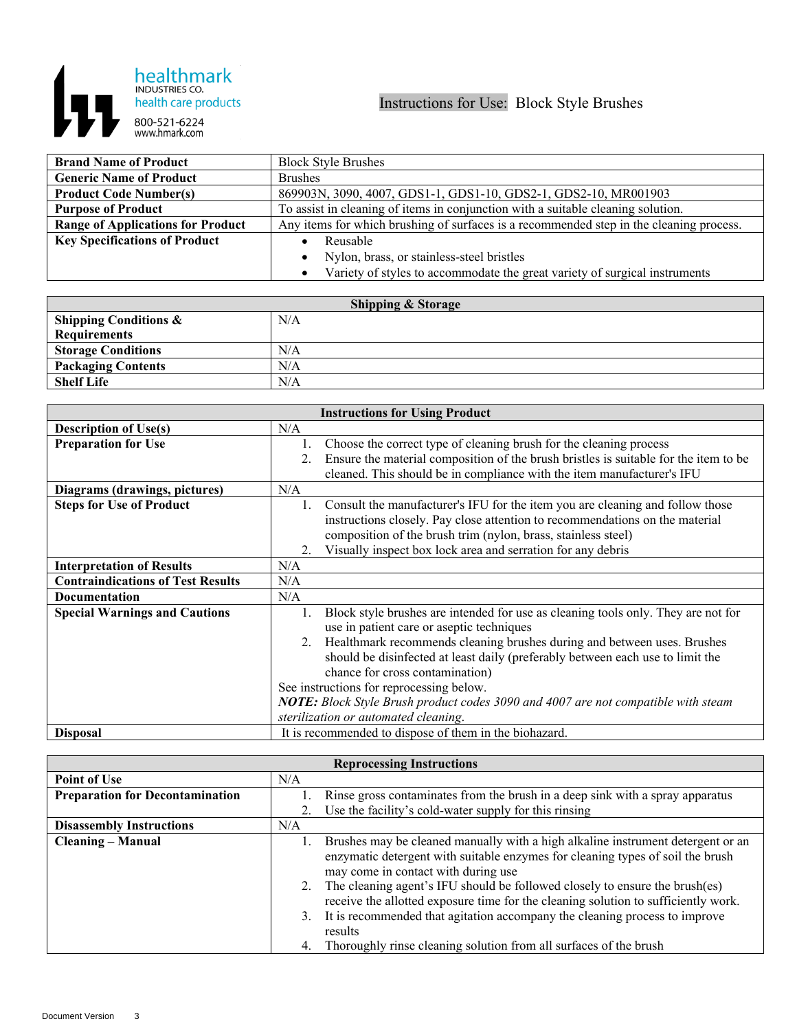

| <b>Brand Name of Product</b>             | <b>Block Style Brushes</b>                                                              |
|------------------------------------------|-----------------------------------------------------------------------------------------|
| <b>Generic Name of Product</b>           | <b>Brushes</b>                                                                          |
| <b>Product Code Number(s)</b>            | 869903N, 3090, 4007, GDS1-1, GDS1-10, GDS2-1, GDS2-10, MR001903                         |
| <b>Purpose of Product</b>                | To assist in cleaning of items in conjunction with a suitable cleaning solution.        |
| <b>Range of Applications for Product</b> | Any items for which brushing of surfaces is a recommended step in the cleaning process. |
| <b>Key Specifications of Product</b>     | Reusable                                                                                |
|                                          | Nylon, brass, or stainless-steel bristles<br>$\bullet$                                  |
|                                          | Variety of styles to accommodate the great variety of surgical instruments<br>$\bullet$ |

| <b>Shipping &amp; Storage</b>    |     |  |
|----------------------------------|-----|--|
| <b>Shipping Conditions &amp;</b> | N/A |  |
| Requirements                     |     |  |
| <b>Storage Conditions</b>        | N/A |  |
| <b>Packaging Contents</b>        | N/A |  |
| <b>Shelf Life</b>                | N/A |  |

| <b>Instructions for Using Product</b>    |                                                                                            |  |
|------------------------------------------|--------------------------------------------------------------------------------------------|--|
| <b>Description of Use(s)</b>             | N/A                                                                                        |  |
| <b>Preparation for Use</b>               | Choose the correct type of cleaning brush for the cleaning process                         |  |
|                                          | Ensure the material composition of the brush bristles is suitable for the item to be<br>2. |  |
|                                          | cleaned. This should be in compliance with the item manufacturer's IFU                     |  |
| Diagrams (drawings, pictures)            | N/A                                                                                        |  |
| <b>Steps for Use of Product</b>          | Consult the manufacturer's IFU for the item you are cleaning and follow those              |  |
|                                          | instructions closely. Pay close attention to recommendations on the material               |  |
|                                          | composition of the brush trim (nylon, brass, stainless steel)                              |  |
|                                          | Visually inspect box lock area and serration for any debris<br>2.                          |  |
| <b>Interpretation of Results</b>         | N/A                                                                                        |  |
| <b>Contraindications of Test Results</b> | N/A                                                                                        |  |
| <b>Documentation</b>                     | N/A                                                                                        |  |
| <b>Special Warnings and Cautions</b>     | Block style brushes are intended for use as cleaning tools only. They are not for          |  |
|                                          | use in patient care or aseptic techniques                                                  |  |
|                                          | Healthmark recommends cleaning brushes during and between uses. Brushes<br>2.              |  |
|                                          | should be disinfected at least daily (preferably between each use to limit the             |  |
|                                          | chance for cross contamination)                                                            |  |
|                                          | See instructions for reprocessing below.                                                   |  |
|                                          | NOTE: Block Style Brush product codes 3090 and 4007 are not compatible with steam          |  |
|                                          | sterilization or automated cleaning.                                                       |  |
| <b>Disposal</b>                          | It is recommended to dispose of them in the biohazard.                                     |  |

| <b>Reprocessing Instructions</b>       |                |                                                                                                                                                                                                                                                                                                                                                                                                                                                                                                                                             |  |
|----------------------------------------|----------------|---------------------------------------------------------------------------------------------------------------------------------------------------------------------------------------------------------------------------------------------------------------------------------------------------------------------------------------------------------------------------------------------------------------------------------------------------------------------------------------------------------------------------------------------|--|
| <b>Point of Use</b>                    | N/A            |                                                                                                                                                                                                                                                                                                                                                                                                                                                                                                                                             |  |
| <b>Preparation for Decontamination</b> |                | Rinse gross contaminates from the brush in a deep sink with a spray apparatus                                                                                                                                                                                                                                                                                                                                                                                                                                                               |  |
|                                        |                | Use the facility's cold-water supply for this rinsing                                                                                                                                                                                                                                                                                                                                                                                                                                                                                       |  |
| <b>Disassembly Instructions</b>        | N/A            |                                                                                                                                                                                                                                                                                                                                                                                                                                                                                                                                             |  |
| <b>Cleaning – Manual</b>               | 2.<br>3.<br>4. | Brushes may be cleaned manually with a high alkaline instrument detergent or an<br>enzymatic detergent with suitable enzymes for cleaning types of soil the brush<br>may come in contact with during use<br>The cleaning agent's IFU should be followed closely to ensure the brush(es)<br>receive the allotted exposure time for the cleaning solution to sufficiently work.<br>It is recommended that agitation accompany the cleaning process to improve<br>results<br>Thoroughly rinse cleaning solution from all surfaces of the brush |  |